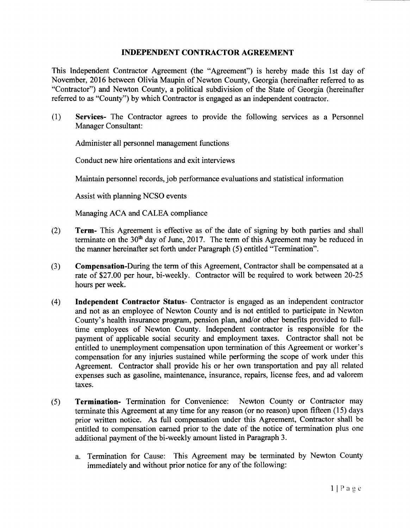## INDEPENDENT CONTRACTOR AGREEMENT

This Independent Contractor Agreement (the "Agreement") is hereby made this 1st day of November, 2016 between Olivia Maupin of Newton County, Georgia (hereinafter referred to as Contractor") and Newton County, a political subdivision of the State of Georgia ( hereinafter referred to as "County") by which Contractor is engaged as an independent contractor.

1) Services- The Contractor agrees to provide the following services as <sup>a</sup> Personnel Manager Consultant:

Administer all personnel management functions

Conduct new hire orientations and exit interviews

Maintain personnel records, job performance evaluations and statistical information

Assist with planning NCSO events

Managing ACA and CALEA compliance

- 2) Term- This Agreement is effective as of the date of signing by both parties and shall terminate on the  $30<sup>th</sup>$  day of June, 2017. The term of this Agreement may be reduced in the manner hereinafter set forth under Paragraph (5) entitled "Termination".
- 3) Compensation-During the term of this Agreement, Contractor shall be compensated at <sup>a</sup> rate of \$27.00 per hour, bi-weekly. Contractor will be required to work between 20-25 hours per week.
- 4) Independent Contractor Status- Contractor is engaged as an independent contractor and not as an employee of Newton County and is not entitled to participate in Newton County's health insurance program, pension plan, and/or other benefits provided to fulltime employees of Newton County. Independent contractor is responsible for the payment of applicable social security and employment taxes. Contractor shall not be entitled to unemployment compensation upon termination of this Agreement or worker's compensation for any injuries sustained while performing the scope of work under this Agreement. Contractor shall provide his or her own transportation and pay all related expenses such as gasoline, maintenance, insurance, repairs, license fees, and ad valorem taxes.
- 5) Termination- Termination for Convenience: Newton County or Contractor may terminate this Agreement at any time for any reason( or no reason) upon fifteen ( 15) days prior written notice. As full compensation under this Agreement, Contractor shall be entitled to compensation earned prior to the date of the notice of termination plus one additional payment of the bi-weekly amount listed in Paragraph 3.
	- a. Termination for Cause: This Agreement may be terminated by Newton County immediately and without prior notice for any of the following: